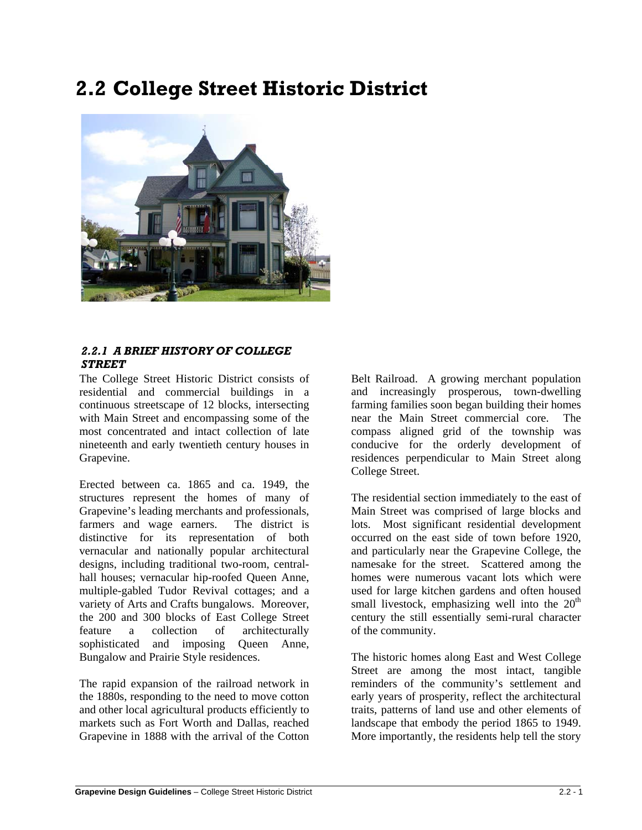# **2.2 College Street Historic District**



# *2.2.1 A BRIEF HISTORY OF COLLEGE STREET*

The College Street Historic District consists of residential and commercial buildings in a continuous streetscape of 12 blocks, intersecting with Main Street and encompassing some of the most concentrated and intact collection of late nineteenth and early twentieth century houses in Grapevine.

Erected between ca. 1865 and ca. 1949, the structures represent the homes of many of Grapevine's leading merchants and professionals, farmers and wage earners. The district is distinctive for its representation of both vernacular and nationally popular architectural designs, including traditional two-room, centralhall houses; vernacular hip-roofed Queen Anne, multiple-gabled Tudor Revival cottages; and a variety of Arts and Crafts bungalows. Moreover, the 200 and 300 blocks of East College Street feature a collection of architecturally sophisticated and imposing Queen Anne, Bungalow and Prairie Style residences.

The rapid expansion of the railroad network in the 1880s, responding to the need to move cotton and other local agricultural products efficiently to markets such as Fort Worth and Dallas, reached Grapevine in 1888 with the arrival of the Cotton Belt Railroad. A growing merchant population and increasingly prosperous, town-dwelling farming families soon began building their homes near the Main Street commercial core. The compass aligned grid of the township was conducive for the orderly development of residences perpendicular to Main Street along College Street.

The residential section immediately to the east of Main Street was comprised of large blocks and lots. Most significant residential development occurred on the east side of town before 1920, and particularly near the Grapevine College, the namesake for the street. Scattered among the homes were numerous vacant lots which were used for large kitchen gardens and often housed small livestock, emphasizing well into the  $20<sup>th</sup>$ century the still essentially semi-rural character of the community.

The historic homes along East and West College Street are among the most intact, tangible reminders of the community's settlement and early years of prosperity, reflect the architectural traits, patterns of land use and other elements of landscape that embody the period 1865 to 1949. More importantly, the residents help tell the story

l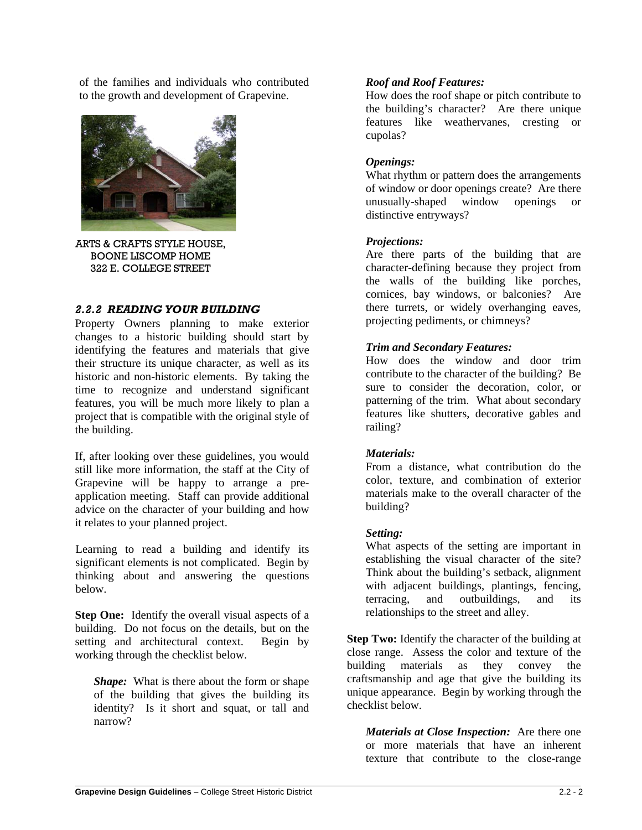of the families and individuals who contributed to the growth and development of Grapevine.



ARTS & CRAFTS STYLE HOUSE, BOONE LISCOMP HOME 322 E. COLLEGE STREET

# *2.2.2 READING YOUR BUILDING*

Property Owners planning to make exterior changes to a historic building should start by identifying the features and materials that give their structure its unique character, as well as its historic and non-historic elements. By taking the time to recognize and understand significant features, you will be much more likely to plan a project that is compatible with the original style of the building.

If, after looking over these guidelines, you would still like more information, the staff at the City of Grapevine will be happy to arrange a preapplication meeting. Staff can provide additional advice on the character of your building and how it relates to your planned project.

Learning to read a building and identify its significant elements is not complicated. Begin by thinking about and answering the questions below.

**Step One:** Identify the overall visual aspects of a building. Do not focus on the details, but on the setting and architectural context. Begin by working through the checklist below.

*Shape:* What is there about the form or shape of the building that gives the building its identity? Is it short and squat, or tall and narrow?

# *Roof and Roof Features:*

How does the roof shape or pitch contribute to the building's character? Are there unique features like weathervanes, cresting or cupolas?

# *Openings:*

What rhythm or pattern does the arrangements of window or door openings create? Are there unusually-shaped window openings or distinctive entryways?

# *Projections:*

Are there parts of the building that are character-defining because they project from the walls of the building like porches, cornices, bay windows, or balconies? Are there turrets, or widely overhanging eaves, projecting pediments, or chimneys?

# *Trim and Secondary Features:*

How does the window and door trim contribute to the character of the building? Be sure to consider the decoration, color, or patterning of the trim. What about secondary features like shutters, decorative gables and railing?

#### *Materials:*

From a distance, what contribution do the color, texture, and combination of exterior materials make to the overall character of the building?

#### *Setting:*

What aspects of the setting are important in establishing the visual character of the site? Think about the building's setback, alignment with adjacent buildings, plantings, fencing, terracing, and outbuildings, and its relationships to the street and alley.

**Step Two:** Identify the character of the building at close range. Assess the color and texture of the building materials as they convey the craftsmanship and age that give the building its unique appearance. Begin by working through the checklist below.

*Materials at Close Inspection:* Are there one or more materials that have an inherent texture that contribute to the close-range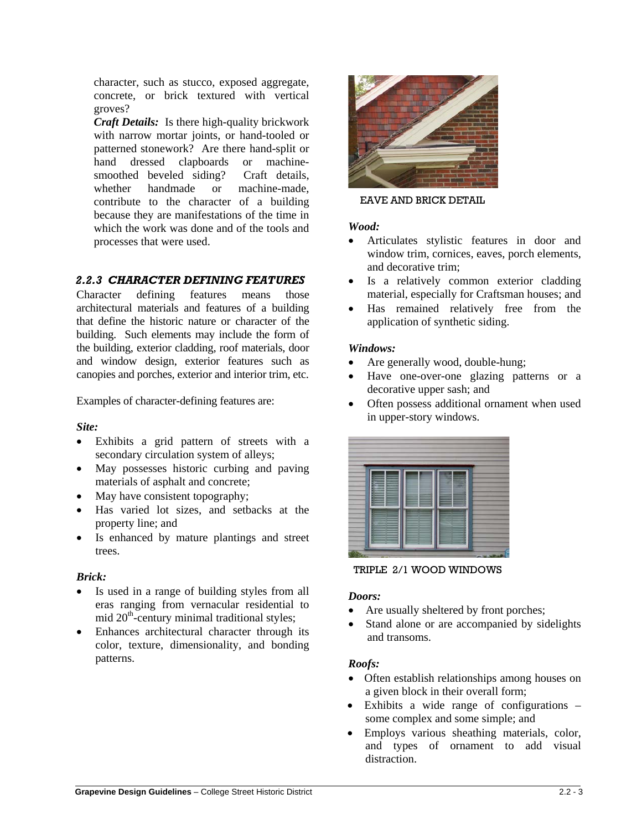character, such as stucco, exposed aggregate, concrete, or brick textured with vertical groves?

*Craft Details:* Is there high-quality brickwork with narrow mortar joints, or hand-tooled or patterned stonework? Are there hand-split or hand dressed clapboards or machinesmoothed beveled siding? Craft details, whether handmade or machine-made, contribute to the character of a building because they are manifestations of the time in which the work was done and of the tools and processes that were used.

# *2.2.3 CHARACTER DEFINING FEATURES*

Character defining features means those architectural materials and features of a building that define the historic nature or character of the building. Such elements may include the form of the building, exterior cladding, roof materials, door and window design, exterior features such as canopies and porches, exterior and interior trim, etc.

Examples of character-defining features are:

# *Site:*

- Exhibits a grid pattern of streets with a secondary circulation system of alleys;
- May possesses historic curbing and paving materials of asphalt and concrete;
- May have consistent topography;
- Has varied lot sizes, and setbacks at the property line; and
- Is enhanced by mature plantings and street trees.

# *Brick:*

- Is used in a range of building styles from all eras ranging from vernacular residential to mid  $20<sup>th</sup>$ -century minimal traditional styles;
- Enhances architectural character through its color, texture, dimensionality, and bonding patterns.



#### EAVE AND BRICK DETAIL

# *Wood:*

- Articulates stylistic features in door and window trim, cornices, eaves, porch elements, and decorative trim;
- Is a relatively common exterior cladding material, especially for Craftsman houses; and
- Has remained relatively free from the application of synthetic siding.

# *Windows:*

- Are generally wood, double-hung;
- Have one-over-one glazing patterns or a decorative upper sash; and
- Often possess additional ornament when used in upper-story windows.



TRIPLE 2/1 WOOD WINDOWS

#### *Doors:*

- Are usually sheltered by front porches;
- Stand alone or are accompanied by sidelights and transoms.

# *Roofs:*

- Often establish relationships among houses on a given block in their overall form;
- Exhibits a wide range of configurations some complex and some simple; and
- Employs various sheathing materials, color, and types of ornament to add visual distraction.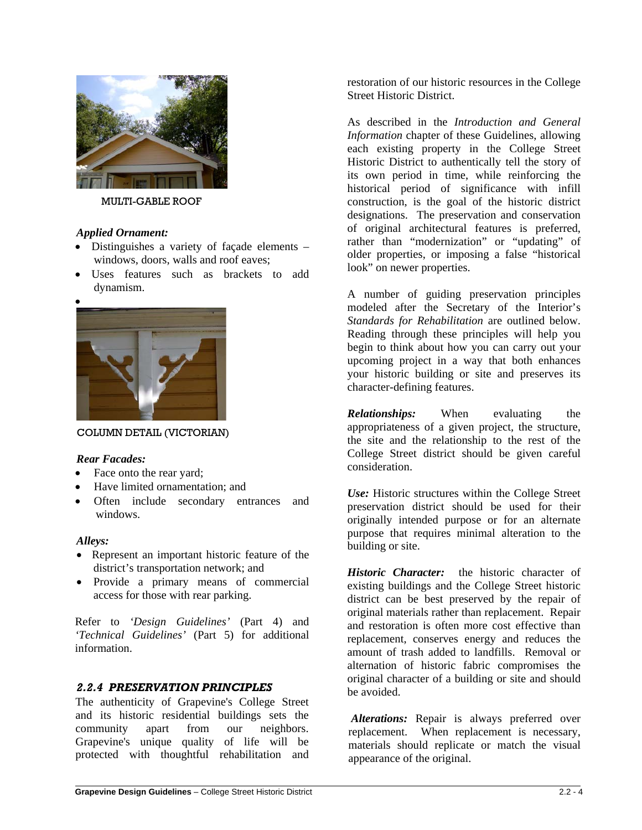

#### MULTI-GABLE ROOF

#### *Applied Ornament:*

- Distinguishes a variety of façade elements windows, doors, walls and roof eaves;
- Uses features such as brackets to add dynamism.



COLUMN DETAIL (VICTORIAN)

#### *Rear Facades:*

- Face onto the rear yard;
- Have limited ornamentation; and
- Often include secondary entrances and windows.

#### *Alleys:*

- Represent an important historic feature of the district's transportation network; and
- Provide a primary means of commercial access for those with rear parking.

Refer to *'Design Guidelines'* (Part 4) and *'Technical Guidelines'* (Part 5) for additional information.

# *2.2.4 PRESERVATION PRINCIPLES*

The authenticity of Grapevine's College Street and its historic residential buildings sets the community apart from our neighbors. Grapevine's unique quality of life will be protected with thoughtful rehabilitation and restoration of our historic resources in the College Street Historic District.

As described in the *Introduction and General Information* chapter of these Guidelines, allowing each existing property in the College Street Historic District to authentically tell the story of its own period in time, while reinforcing the historical period of significance with infill construction, is the goal of the historic district designations. The preservation and conservation of original architectural features is preferred, rather than "modernization" or "updating" of older properties, or imposing a false "historical look" on newer properties.

A number of guiding preservation principles modeled after the Secretary of the Interior's *Standards for Rehabilitation* are outlined below. Reading through these principles will help you begin to think about how you can carry out your upcoming project in a way that both enhances your historic building or site and preserves its character-defining features.

*Relationships:* When evaluating the appropriateness of a given project, the structure, the site and the relationship to the rest of the College Street district should be given careful consideration.

*Use:* Historic structures within the College Street preservation district should be used for their originally intended purpose or for an alternate purpose that requires minimal alteration to the building or site.

*Historic Character:* the historic character of existing buildings and the College Street historic district can be best preserved by the repair of original materials rather than replacement. Repair and restoration is often more cost effective than replacement, conserves energy and reduces the amount of trash added to landfills. Removal or alternation of historic fabric compromises the original character of a building or site and should be avoided.

*Alterations:* Repair is always preferred over replacement. When replacement is necessary, materials should replicate or match the visual appearance of the original.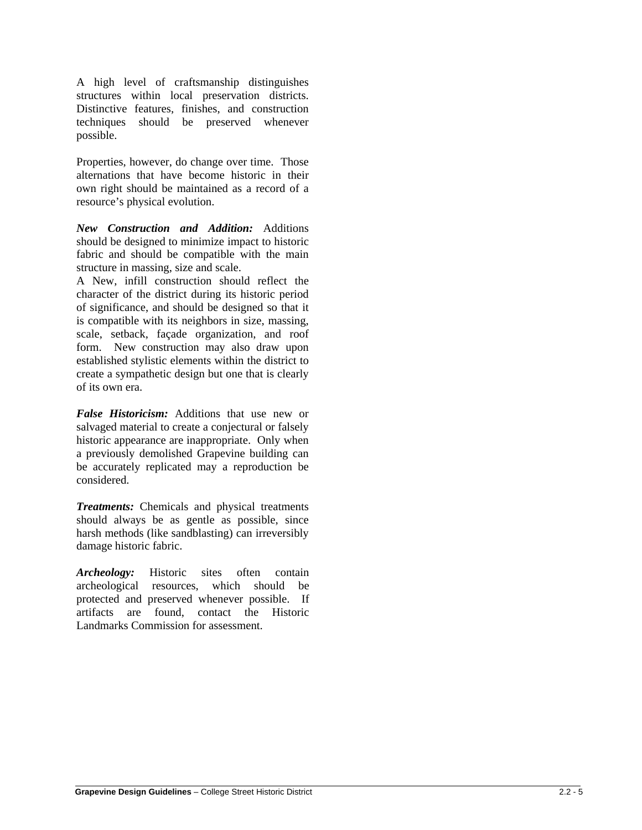A high level of craftsmanship distinguishes structures within local preservation districts. Distinctive features, finishes, and construction techniques should be preserved whenever possible.

Properties, however, do change over time. Those alternations that have become historic in their own right should be maintained as a record of a resource's physical evolution.

*New Construction and Addition:* Additions should be designed to minimize impact to historic fabric and should be compatible with the main structure in massing, size and scale.

A New, infill construction should reflect the character of the district during its historic period of significance, and should be designed so that it is compatible with its neighbors in size, massing, scale, setback, façade organization, and roof form. New construction may also draw upon established stylistic elements within the district to create a sympathetic design but one that is clearly of its own era.

*False Historicism:* Additions that use new or salvaged material to create a conjectural or falsely historic appearance are inappropriate. Only when a previously demolished Grapevine building can be accurately replicated may a reproduction be considered.

*Treatments:* Chemicals and physical treatments should always be as gentle as possible, since harsh methods (like sandblasting) can irreversibly damage historic fabric.

*Archeology:* Historic sites often contain archeological resources, which should be protected and preserved whenever possible. If artifacts are found, contact the Historic Landmarks Commission for assessment.